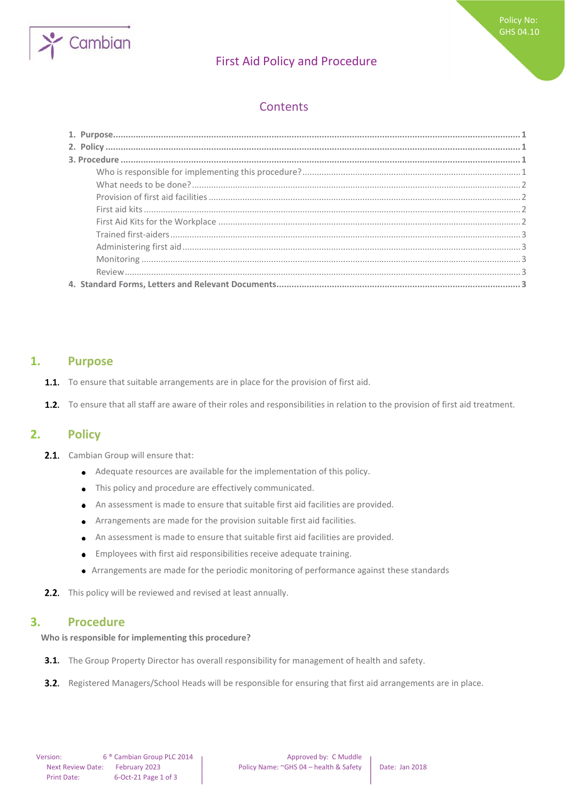

# First Aid Policy and Procedure

## **Contents**

### <span id="page-0-0"></span>**1. Purpose**

- **1.1.** To ensure that suitable arrangements are in place for the provision of first aid.
- 1.2. To ensure that all staff are aware of their roles and responsibilities in relation to the provision of first aid treatment.

### <span id="page-0-1"></span>**2. Policy**

- 2.1. Cambian Group will ensure that:
	- Adequate resources are available for the implementation of this policy.
	- This policy and procedure are effectively communicated.  $\bullet$
	- An assessment is made to ensure that suitable first aid facilities are provided.
	- Arrangements are made for the provision suitable first aid facilities.  $\bullet$
	- An assessment is made to ensure that suitable first aid facilities are provided.
	- Employees with first aid responsibilities receive adequate training.  $\bullet$
	- Arrangements are made for the periodic monitoring of performance against these standards
- **2.2.** This policy will be reviewed and revised at least annually.

### <span id="page-0-2"></span>**3. Procedure**

<span id="page-0-3"></span>**Who is responsible for implementing this procedure?** 

- **3.1.** The Group Property Director has overall responsibility for management of health and safety.
- **3.2.** Registered Managers/School Heads will be responsible for ensuring that first aid arrangements are in place.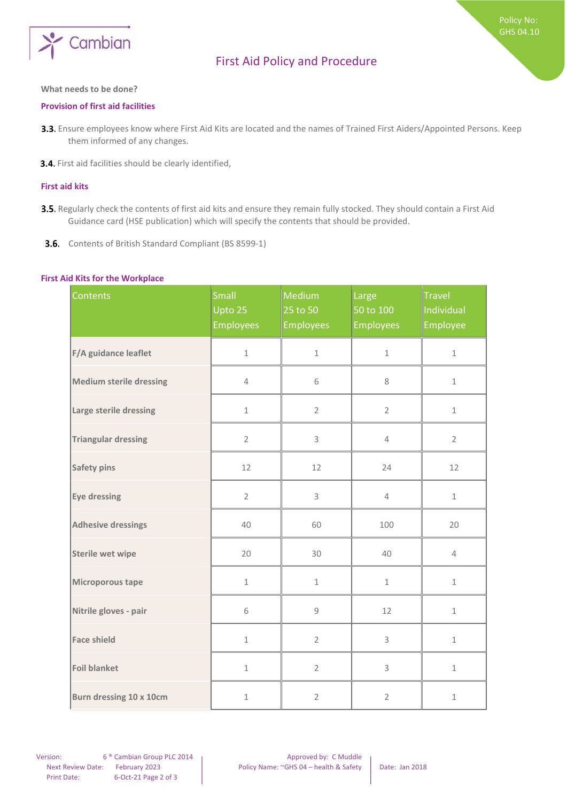

# First Aid Policy and Procedure

#### <span id="page-1-0"></span>**What needs to be done?**

#### <span id="page-1-1"></span>**Provision of first aid facilities**

- 3.3. Ensure employees know where First Aid Kits are located and the names of Trained First Aiders/Appointed Persons. Keep them informed of any changes.
- 3.4. First aid facilities should be clearly identified,

#### <span id="page-1-2"></span>**First aid kits**

- 3.5. Regularly check the contents of first aid kits and ensure they remain fully stocked. They should contain a First Aid Guidance card (HSE publication) which will specify the contents that should be provided.
- 3.6. Contents of British Standard Compliant (BS 8599-1)

#### <span id="page-1-3"></span>**First Aid Kits for the Workplace**

| Contents                | Small<br>Upto 25<br><b>Employees</b> | Medium<br>25 to 50<br><b>Employees</b> | Large<br>50 to 100<br><b>Employees</b> | <b>Travel</b><br>Individual<br>Employee |
|-------------------------|--------------------------------------|----------------------------------------|----------------------------------------|-----------------------------------------|
| F/A guidance leaflet    | $\mathbf 1$                          | $\mathbf 1$                            | $\mathbf 1$                            | $1\,$                                   |
| Medium sterile dressing | $\overline{4}$                       | 6                                      | 8                                      | $1\,$                                   |
| Large sterile dressing  | $1\,$                                | $\overline{2}$                         | $\overline{2}$                         | $\mathbbm{1}$                           |
| Triangular dressing     | $\overline{2}$                       | 3                                      | $\overline{4}$                         | $\overline{2}$                          |
| Safety pins             | 12                                   | 12                                     | 24                                     | 12                                      |
| Eye dressing            | $\overline{2}$                       | 3                                      | $\overline{4}$                         | $1\,$                                   |
| Adhesive dressings      | 40                                   | 60                                     | 100                                    | 20                                      |
| Sterile wet wipe        | 20                                   | 30                                     | 40                                     | $\overline{4}$                          |
| Microporous tape        | $\mathbf 1$                          | $\mathbf 1$                            | $\mathbf 1$                            | $\mathbf 1$                             |
| Nitrile gloves - pair   | 6                                    | $\mathsf g$                            | 12                                     | $1\,$                                   |
| Face shield             | $\mathbf 1$                          | $\overline{2}$                         | 3                                      | $\mathbbm{1}$                           |
| Foil blanket            | $\mathbf 1$                          | $\overline{2}$                         | 3                                      | $\mathbf 1$                             |
| Burn dressing 10 x 10cm | $\mathbf 1$                          | $\overline{2}$                         | $\overline{2}$                         | $\mathbf 1$                             |